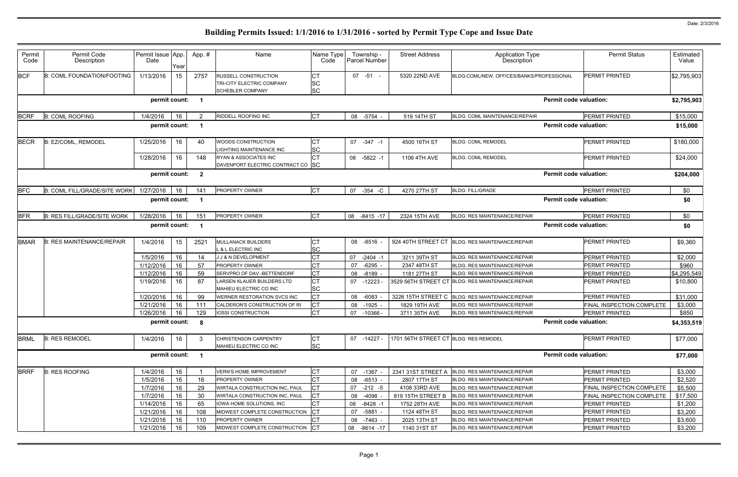|                               | <b>Permit Status</b>      | Estimated<br>Value |  |  |  |  |  |
|-------------------------------|---------------------------|--------------------|--|--|--|--|--|
| ROFESSIONAL                   | <b>PERMIT PRINTED</b>     |                    |  |  |  |  |  |
| <b>Permit code valuation:</b> |                           | \$2,795,903        |  |  |  |  |  |
|                               |                           |                    |  |  |  |  |  |
|                               | PERMIT PRINTED            | \$15,000           |  |  |  |  |  |
| <b>Permit code valuation:</b> |                           | \$15,000           |  |  |  |  |  |
|                               | PERMIT PRINTED            | \$180,000          |  |  |  |  |  |
|                               | PERMIT PRINTED            | \$24,000           |  |  |  |  |  |
| <b>Permit code valuation:</b> |                           | \$204,000          |  |  |  |  |  |
|                               | PERMIT PRINTED            | \$0                |  |  |  |  |  |
| <b>Permit code valuation:</b> |                           | \$0                |  |  |  |  |  |
|                               | PERMIT PRINTED            | \$0                |  |  |  |  |  |
| <b>Permit code valuation:</b> |                           | \$0                |  |  |  |  |  |
|                               | PERMIT PRINTED            | \$9,360            |  |  |  |  |  |
|                               | PERMIT PRINTED            | \$2,000            |  |  |  |  |  |
|                               | PERMIT PRINTED            | \$960              |  |  |  |  |  |
|                               | PERMIT PRINTED            | \$4,295,549        |  |  |  |  |  |
|                               | PERMIT PRINTED            | \$10,800           |  |  |  |  |  |
|                               | PERMIT PRINTED            | \$31,000           |  |  |  |  |  |
|                               | FINAL INSPECTION COMPLETE | \$3,000            |  |  |  |  |  |
|                               | PERMIT PRINTED            | \$850              |  |  |  |  |  |
| <b>Permit code valuation:</b> |                           | \$4,353,519        |  |  |  |  |  |
|                               | PERMIT PRINTED            | \$77,000           |  |  |  |  |  |
| <b>Permit code valuation:</b> |                           | \$77,000           |  |  |  |  |  |
|                               | PERMIT PRINTED            | \$3,000            |  |  |  |  |  |
|                               | PERMIT PRINTED            | \$2,520            |  |  |  |  |  |
|                               | FINAL INSPECTION COMPLETE | \$5,500            |  |  |  |  |  |
|                               | FINAL INSPECTION COMPLETE | \$17,500           |  |  |  |  |  |
|                               | PERMIT PRINTED            | \$1,200            |  |  |  |  |  |
|                               | PERMIT PRINTED            | \$3,200            |  |  |  |  |  |
|                               | PERMIT PRINTED            | \$3,600            |  |  |  |  |  |
|                               | PERMIT PRINTED            | \$3,200            |  |  |  |  |  |
|                               |                           |                    |  |  |  |  |  |

| Permit<br>Code | Permit Code<br>Description          | Permit Issue App.<br>Date | Year | App.#                   | Name                                                                         | Name Type<br>Code             | Township -<br>Parcel Number | <b>Street Address</b>                 | <b>Application Type</b><br>Description                                                  | <b>Permit Status</b>                           | Estimated<br>Value |
|----------------|-------------------------------------|---------------------------|------|-------------------------|------------------------------------------------------------------------------|-------------------------------|-----------------------------|---------------------------------------|-----------------------------------------------------------------------------------------|------------------------------------------------|--------------------|
| <b>BCF</b>     | <b>B: COML FOUNDATION/FOOTING</b>   | 1/13/2016                 | 15   | 2757                    | RUSSELL CONSTRUCTION<br>TRI-CITY ELECTRIC COMPANY<br><b>SCHEBLER COMPANY</b> | Iст<br><b>SC</b><br><b>SC</b> | $07 - 51 -$                 | 5320 22ND AVE                         | BLDG:COML/NEW, OFFICES/BANKS/PROFESSIONAL                                               | <b>PERMIT PRINTED</b>                          | \$2,795,903        |
|                |                                     | permit count:             |      | -1                      |                                                                              |                               |                             |                                       |                                                                                         | <b>Permit code valuation:</b>                  | \$2,795,903        |
|                |                                     |                           |      |                         |                                                                              |                               |                             |                                       |                                                                                         |                                                |                    |
| <b>BCRF</b>    | <b>B: COML ROOFING</b>              | 1/4/2016                  | 16   | 2                       | RIDDELL ROOFING INC                                                          | <b>CT</b>                     | 08 -5754 -                  | 519 14TH ST                           | BLDG: COML MAINTENANCE/REPAIR                                                           | PERMIT PRINTED                                 | \$15,000           |
|                |                                     | permit count:             |      |                         |                                                                              |                               |                             |                                       |                                                                                         | <b>Permit code valuation:</b>                  | \$15,000           |
| <b>BECR</b>    | B: EZ/COML, REMODEL                 | 1/25/2016                 | 16   | 40                      | WOODS CONSTRUCTION                                                           | CT                            | 07 -347 -1                  | 4500 16TH ST                          | <b>BLDG: COML REMODEL</b>                                                               | PERMIT PRINTED                                 | \$180,000          |
|                |                                     |                           |      |                         | IGHTING MAINTENANCE INC                                                      | <b>SC</b>                     |                             |                                       |                                                                                         |                                                |                    |
|                |                                     | 1/28/2016                 | 16   | 148                     | <b>RYAN &amp; ASSOCIATES INC</b>                                             | <b>I</b> CT                   | 08 -5822 -1                 | 1106 4TH AVE                          | <b>BLDG: COML REMODEL</b>                                                               | <b>PERMIT PRINTED</b>                          | \$24,000           |
|                |                                     | permit count:             |      | $\overline{\mathbf{2}}$ | DAVENPORT ELECTRIC CONTRACT CO SC                                            |                               |                             |                                       |                                                                                         | <b>Permit code valuation:</b>                  |                    |
|                |                                     |                           |      |                         |                                                                              |                               |                             |                                       |                                                                                         |                                                | \$204,000          |
| <b>BFC</b>     | <b>B: COML FILL/GRADE/SITE WORK</b> | 1/27/2016                 | 16   | 141                     | PROPERTY OWNER                                                               | <b>CT</b>                     | 07 -354 -C                  | 4270 27TH ST                          | <b>BLDG: FILL/GRADE</b>                                                                 | <b>PERMIT PRINTED</b>                          | \$0                |
|                |                                     | permit count:             |      |                         |                                                                              |                               |                             |                                       |                                                                                         | <b>Permit code valuation:</b>                  | \$0                |
| <b>BFR</b>     | <b>B: RES FILL/GRADE/SITE WORK</b>  | 1/28/2016                 | 16   | 151                     | PROPERTY OWNER                                                               | <b>CT</b>                     | 08<br>$-8415 - 17$          | 2324 15TH AVE                         | BLDG: RES MAINTENANCE/REPAIR                                                            | <b>PERMIT PRINTED</b>                          | \$0                |
|                |                                     | permit count:             |      |                         |                                                                              |                               |                             |                                       |                                                                                         | <b>Permit code valuation:</b>                  | \$0                |
| <b>BMAR</b>    | <b>B: RES MAINTENANCE/REPAIR</b>    | 1/4/2016                  | 15   | 2521                    | <b>MULLANACK BUILDERS</b>                                                    | Iст                           | 08 -8516                    | 924 40TH STREET CT                    | <b>BLDG: RES MAINTENANCE/REPAIR</b>                                                     | <b>PERMIT PRINTED</b>                          | \$9,360            |
|                |                                     |                           |      |                         | & L ELECTRIC INC                                                             | <b>SC</b>                     |                             |                                       |                                                                                         |                                                |                    |
|                |                                     | 1/5/2016                  | 16   | 14                      | J J & N DEVELOPMENT                                                          | Iст                           | $-2404 - 1$<br>07           | 3211 39TH ST                          | <b>BLDG: RES MAINTENANCE/REPAIR</b>                                                     | <b>PERMIT PRINTED</b>                          | \$2,000            |
|                |                                     | 1/12/2016                 | 16   | 57                      | PROPERTY OWNER                                                               | <b>CT</b>                     | $-6295$<br>07               | 2347 48TH ST                          | <b>BLDG: RES MAINTENANCE/REPAIR</b>                                                     | <b>PERMIT PRINTED</b>                          | \$960              |
|                |                                     | 1/12/2016                 | 16   | 59<br>87                | SERVPRO OF DAV.-BETTENDORF<br>ARSEN KLAUER BUILDERS LTD                      | <b>CT</b><br>Iст              | $-8189$<br>08<br>07 -12223  | 1181 27TH ST                          | <b>BLDG: RES MAINTENANCE/REPAIR</b><br>3529 56TH STREET CT BLDG: RES MAINTENANCE/REPAIR | <b>PERMIT PRINTED</b><br><b>PERMIT PRINTED</b> | \$4,295,549        |
|                |                                     | 1/19/2016                 | 16   |                         | MAHIEU ELECTRIC CO INC                                                       | <b>SC</b>                     |                             |                                       |                                                                                         |                                                | \$10,800           |
|                |                                     | 1/20/2016                 | 16   | 99                      | WERNER RESTORATION SVCS INC                                                  | lст                           | $-6083$<br>08               |                                       | 3226 15TH STREET C BLDG: RES MAINTENANCE/REPAIR                                         | PERMIT PRINTED                                 | \$31,000           |
|                |                                     | 1/21/2016                 | 16   | 111                     | CALDERON'S CONSTRUCTION OF RI                                                | <b>CT</b>                     | $-1925$ .<br>08             | 1829 19TH AVE                         | <b>BLDG: RES MAINTENANCE/REPAIR</b>                                                     | FINAL INSPECTION COMPLETE                      | \$3,000            |
|                |                                     | 1/26/2016                 | 16   | 129                     | IOSSI CONSTRUCTION                                                           | <b>CT</b>                     | 07 -10366 -                 | 3711 35TH AVE                         | <b>BLDG: RES MAINTENANCE/REPAIR</b>                                                     | <b>PERMIT PRINTED</b>                          | \$850              |
|                |                                     | permit count: 8           |      |                         |                                                                              |                               |                             |                                       |                                                                                         | <b>Permit code valuation:</b>                  | \$4,353,519        |
| <b>BRML</b>    | <b>B: RES REMODEL</b>               | 1/4/2016                  | 16   | 3                       | CHRISTENSON CARPENTRY<br>MAHIEU ELECTRIC CO INC                              | Iст<br><b>SC</b>              | 07 -14227 -                 | 1701 56TH STREET CT BLDG: RES REMODEL |                                                                                         | PERMIT PRINTED                                 | \$77,000           |
|                |                                     | permit count:             |      | -1                      |                                                                              |                               |                             |                                       |                                                                                         | <b>Permit code valuation:</b>                  | \$77,000           |
| <b>BRRF</b>    | <b>B: RES ROOFING</b>               | 1/4/2016                  | 16   |                         | <b>VERN'S HOME IMPROVEMENT</b>                                               | <b>CT</b>                     | 07 -1367 -                  | 2341 31ST STREET A                    | <b>BLDG: RES MAINTENANCE/REPAIR</b>                                                     | <b>PERMIT PRINTED</b>                          | \$3,000            |
|                |                                     | 1/5/2016                  | 16   | 16                      | PROPERTY OWNER                                                               | <b>CT</b>                     | 08 -6513 -                  | 2807 17TH ST                          | BLDG: RES MAINTENANCE/REPAIR                                                            | <b>PERMIT PRINTED</b>                          | \$2,520            |
|                |                                     | 1/7/2016                  | 16   | 29                      | WIRTALA CONSTRUCTION INC, PAUL                                               | <b>CT</b>                     | $07 -212 -5$                | 4108 33RD AVE                         | BLDG: RES MAINTENANCE/REPAIR                                                            | FINAL INSPECTION COMPLETE                      | \$5,500            |
|                |                                     | 1/7/2016                  | 16   | 30                      | WIRTALA CONSTRUCTION INC, PAUL                                               | <b>CT</b>                     | 08 -4098                    | 819 15TH STREET B                     | <b>BLDG: RES MAINTENANCE/REPAIR</b>                                                     | FINAL INSPECTION COMPLETE                      | \$17,500           |
|                |                                     | 1/14/2016                 | 16   | 65                      | IOWA HOME SOLUTIONS, INC                                                     | <b>CT</b>                     | $-8428 - 1$<br>08           | 1752 28TH AVE                         | BLDG: RES MAINTENANCE/REPAIR                                                            | PERMIT PRINTED                                 | \$1,200            |
|                |                                     | 1/21/2016                 | 16   | 108                     | MIDWEST COMPLETE CONSTRUCTION                                                | <b>ICT</b>                    | 07<br>-5881 -               | 1124 48TH ST                          | BLDG: RES MAINTENANCE/REPAIR                                                            | PERMIT PRINTED                                 | \$3,200            |
|                |                                     | 1/21/2016                 | 16   | 110                     | PROPERTY OWNER                                                               | <b>CT</b>                     | 08 -7463 -                  | 2025 13TH ST                          | <b>BLDG: RES MAINTENANCE/REPAIR</b>                                                     | PERMIT PRINTED                                 | \$3,600            |
|                |                                     | 1/21/2016                 | 16   | 109                     | MIDWEST COMPLETE CONSTRUCTION CT                                             |                               | 08 -8614 -17                | 1140 31ST ST                          | BLDG: RES MAINTENANCE/REPAIR                                                            | PERMIT PRINTED                                 | \$3,200            |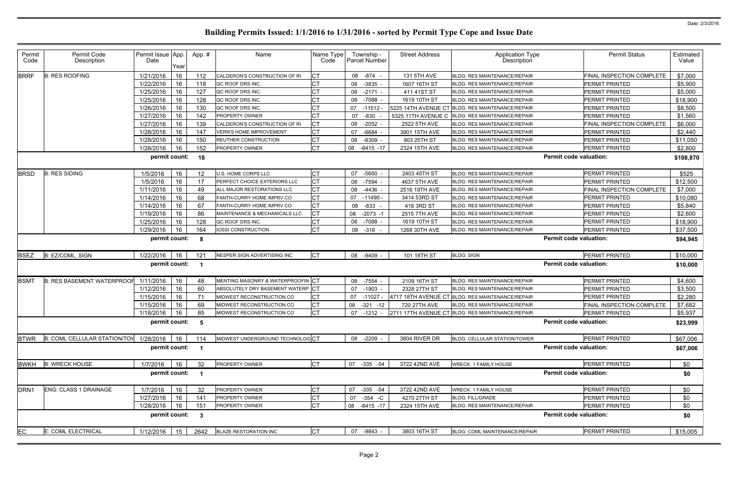| Permit<br>Code   | Permit Code<br>Description             | Permit Issue App.<br>Date | Year | App. #       | Name                                       | Name Type<br>Code | Township -<br><b>Parcel Number</b> | <b>Street Address</b> | Application Type<br>Description                  | <b>Permit Status</b>          | Estimated<br>Value |
|------------------|----------------------------------------|---------------------------|------|--------------|--------------------------------------------|-------------------|------------------------------------|-----------------------|--------------------------------------------------|-------------------------------|--------------------|
| <b>BRRF</b>      | <b>B: RES ROOFING</b>                  | 1/21/2016                 | 16   | 112          | CALDERON'S CONSTRUCTION OF RI              | <b>CT</b>         | 08<br>-874                         | 131 5TH AVE           | <b>BLDG: RES MAINTENANCE/REPAIR</b>              | FINAL INSPECTION COMPLETE     | \$7,000            |
|                  |                                        | 1/22/2016                 | 16   | 118          | QC ROOF DRS INC.                           | <b>CT</b>         | 08<br>-3835                        | 1607 16TH ST          | <b>BLDG: RES MAINTENANCE/REPAIR</b>              | PERMIT PRINTED                | \$5,900            |
|                  |                                        | 1/25/2016                 | 16   | 127          | QC ROOF DRS INC.                           | <b>CT</b>         | 08 -2171 -                         | 411 41ST ST           | <b>BLDG: RES MAINTENANCE/REPAIR</b>              | PERMIT PRINTED                | \$5,000            |
|                  |                                        | 1/25/2016                 | 16   | 128          | QC ROOF DRS INC.                           | <b>CT</b>         | $-7088$<br>08                      | 1619 10TH ST          | <b>BLDG: RES MAINTENANCE/REPAIR</b>              | PERMIT PRINTED                | \$18,900           |
|                  |                                        | 1/26/2016                 | 16   | 130          | QC ROOF DRS INC.                           | <b>CT</b>         | 07<br>$-11512 -$                   |                       | 5225 14TH AVENUE CT BLDG: RES MAINTENANCE/REPAIR | PERMIT PRINTED                | \$8,500            |
|                  |                                        | 1/27/2016                 | 16   | 142          | PROPERTY OWNER                             | <b>CT</b>         | $-830$<br>07                       |                       | 5325 11TH AVENUE C BLDG: RES MAINTENANCE/REPAIR  | PERMIT PRINTED                | \$1,560            |
|                  |                                        | 1/27/2016                 | 16   | 139          | CALDERON'S CONSTRUCTION OF RI              | <b>CT</b>         | $-2052$<br>08                      | 2522 5TH AVE          | <b>BLDG: RES MAINTENANCE/REPAIR</b>              | FINAL INSPECTION COMPLETE     | \$6,000            |
|                  |                                        | 1/28/2016                 | 16   | 147          | <b>VERN'S HOME IMPROVEMENT</b>             | <b>CT</b>         | $-6684$<br>07                      | 3901 15TH AVE         | <b>BLDG: RES MAINTENANCE/REPAIR</b>              | PERMIT PRINTED                | \$2,440            |
|                  |                                        | 1/28/2016                 | 16   | 150          | REUTHER CONSTRUCTION                       | <b>CT</b>         | 08<br>-6309                        | 903 25TH ST           | BLDG: RES MAINTENANCE/REPAIR                     | PERMIT PRINTED                | \$11,050           |
|                  |                                        | 1/28/2016                 | 16   | 152          | PROPERTY OWNER                             | <b>CT</b>         | 08<br>$-8415 - 17$                 | 2324 15TH AVE         | <b>BLDG: RES MAINTENANCE/REPAIR</b>              | PERMIT PRINTED                | \$2,800            |
|                  |                                        | permit count:             |      | 18           |                                            |                   |                                    |                       |                                                  | <b>Permit code valuation:</b> | \$108,870          |
| <b>BRSD</b>      | <b>B: RES SIDING</b>                   | 1/5/2016                  | 16   | 12           | U.S. HOME CORPS LLC                        | <b>CT</b>         | 07<br>-5650                        | 2403 45TH ST          | <b>BLDG: RES MAINTENANCE/REPAIR</b>              | PERMIT PRINTED                | \$525              |
|                  |                                        | 1/5/2016                  | 16   | 17           | PERFECT CHOICE EXTERIORS LLC               | <b>CT</b>         | -7594<br>08                        | 4637 5TH AVE          | BLDG: RES MAINTENANCE/REPAIR                     | PERMIT PRINTED                | \$12,500           |
|                  |                                        | 1/11/2016                 | 16   | 49           | ALL MAJOR RESTORATIONS LLC                 | <b>CT</b>         | -4436<br>08                        | 2516 19TH AVE         | <b>BLDG: RES MAINTENANCE/REPAIR</b>              | FINAL INSPECTION COMPLETE     | \$7,000            |
|                  |                                        | 1/14/2016                 | 16   | 68           | FANTH-CURRY HOME IMPRV CO                  | <b>CT</b>         | 07<br>-11490 -                     | 3414 53RD ST          | BLDG: RES MAINTENANCE/REPAIR                     | PERMIT PRINTED                | \$10,080           |
|                  |                                        | 1/14/2016                 | 16   | 67           | FANTH-CURRY HOME IMPRV CO                  | <b>CT</b>         | $-833$<br>08                       | 418 3RD ST            | BLDG: RES MAINTENANCE/REPAIR                     | PERMIT PRINTED                | \$5,840            |
|                  |                                        | 1/19/2016                 | 16   | 86           | MAINTENANCE & MECHANICALS LLC              | <b>CT</b>         | 08<br>$-2073 - 1$                  | 2515 7TH AVE          | <b>BLDG: RES MAINTENANCE/REPAIR</b>              | PERMIT PRINTED                | \$2,600            |
|                  |                                        | 1/25/2016                 | 16   | 128          | QC ROOF DRS INC.                           | <b>CT</b>         | -7088<br>08                        | 1619 10TH ST          | <b>BLDG: RES MAINTENANCE/REPAIR</b>              | PERMIT PRINTED                | \$18,900           |
|                  |                                        | 1/29/2016                 | 16   | 164          | <b>IOSSI CONSTRUCTION</b>                  | <b>CT</b>         | 08<br>-316                         | 1268 30TH AVE         | <b>BLDG: RES MAINTENANCE/REPAIR</b>              | PERMIT PRINTED                | \$37,500           |
|                  |                                        | permit count:             |      | 8            |                                            |                   |                                    |                       |                                                  | <b>Permit code valuation:</b> | \$94,945           |
| <b>BSEZ</b>      | B: EZ/COML, SIGN                       | 1/22/2016                 | 16   | 121          | NESPER SIGN ADVERTISING INC                | <b>CT</b>         | 08 -9409                           | 101 18TH ST           | <b>BLDG: SIGN</b>                                | PERMIT PRINTED                | \$10,000           |
|                  |                                        | permit count:             |      |              |                                            |                   |                                    |                       |                                                  | <b>Permit code valuation:</b> | \$10,000           |
| <b>BSMT</b>      | <b>B: RES BASEMENT WATERPROOF</b>      | 1/11/2016                 | 16   | 48           | MENTING MASONRY & WATERPROOFIN <b>I</b> CT |                   | 08 -7554                           | 2109 16TH ST          | BLDG: RES MAINTENANCE/REPAIR                     | PERMIT PRINTED                | \$4,600            |
|                  |                                        | 1/12/2016                 | 16   | 60           | ABSOLUTELY DRY BASEMENT WATERP CT          |                   | $-1903$<br>07                      | 2328 27TH ST          | <b>BLDG: RES MAINTENANCE/REPAIR</b>              | PERMIT PRINTED                | \$3,500            |
|                  |                                        | 1/15/2016                 | 16   | 71           | MIDWEST RECONSTRUCTION CO                  | <b>CT</b>         | 07<br>-11027 -                     | 4717 18TH AVENUE CT   | <b>BLDG: RES MAINTENANCE/REPAIR</b>              | PERMIT PRINTED                | \$2,280            |
|                  |                                        | 1/15/2016                 |      |              |                                            |                   |                                    |                       |                                                  |                               |                    |
|                  |                                        |                           | 16   | 69           | MIDWEST RECONSTRUCTION CO                  | <b>CT</b>         | $-321 - 12$<br>08                  | 720 27TH AVE          | <b>BLDG: RES MAINTENANCE/REPAIR</b>              | FINAL INSPECTION COMPLETE     | \$7,682            |
|                  |                                        | 1/18/2016                 | 16   | 85           | MIDWEST RECONSTRUCTION CO                  | <b>CT</b>         | 07<br>-1212 -                      |                       | 2711 17TH AVENUE CT BLDG: RES MAINTENANCE/REPAIR | PERMIT PRINTED                | \$5,937            |
|                  |                                        | permit count:             |      | - 5          |                                            |                   |                                    |                       |                                                  | <b>Permit code valuation:</b> | \$23,999           |
| <b>BTWR</b>      | B: COML CELLULAR STATION/TOV 1/28/2016 |                           | 16   | 114          | MIDWEST UNDERGROUND TECHNOLOG CT           |                   | 08 -2209 -                         | 3804 RIVER DR         | BLDG: CELLULAR STATION/TOWER                     | PERMIT PRINTED                | \$67,006           |
|                  |                                        | permit count:             |      | - 1          |                                            |                   |                                    |                       |                                                  | <b>Permit code valuation:</b> | \$67,006           |
| <b>BWKH</b>      | <b>B: WRECK HOUSE</b>                  | 1/7/2016                  | 16   | 32           | PROPERTY OWNER                             | Iст               | 07 -335 -54                        | 3722 42ND AVE         | <b>WRECK: 1 FAMILY HOUSE</b>                     | PERMIT PRINTED                | \$0                |
|                  |                                        | permit count:             |      | - 1          |                                            |                   |                                    |                       |                                                  | <b>Permit code valuation:</b> | \$0                |
| DRN <sub>1</sub> | <b>ENG: CLASS 1 DRAINAGE</b>           | 1/7/2016                  | 16   | 32           | PROPERTY OWNER                             | <b>CT</b>         | $-335 -54$<br>07                   | 3722 42ND AVE         | <b>WRECK: 1 FAMILY HOUSE</b>                     | PERMIT PRINTED                | \$0                |
|                  |                                        | 1/27/2016                 | 16   | 141          | PROPERTY OWNER                             | <b>CT</b>         | $-354$ $-C$<br>07                  | 4270 27TH ST          | <b>BLDG: FILL/GRADE</b>                          | PERMIT PRINTED                | \$0                |
|                  |                                        | 1/28/2016                 | 16   | 151          | <b>PROPERTY OWNER</b>                      | Iст               | 08 -8415 -17                       | 2324 15TH AVE         | BLDG: RES MAINTENANCE/REPAIR                     | PERMIT PRINTED                | \$0                |
|                  |                                        | permit count:             |      | $\mathbf{3}$ |                                            |                   |                                    |                       |                                                  | <b>Permit code valuation:</b> | \$0                |
| EC               | E: COML ELECTRICAL                     | 1/12/2016                 | 15   | 2642         | <b>BLAZE RESTORATION INC</b>               | <b>CT</b>         | 07<br>$-9843 -$                    | 3803 16TH ST          | BLDG: COML MAINTENANCE/REPAIR                    | PERMIT PRINTED                | \$15,005           |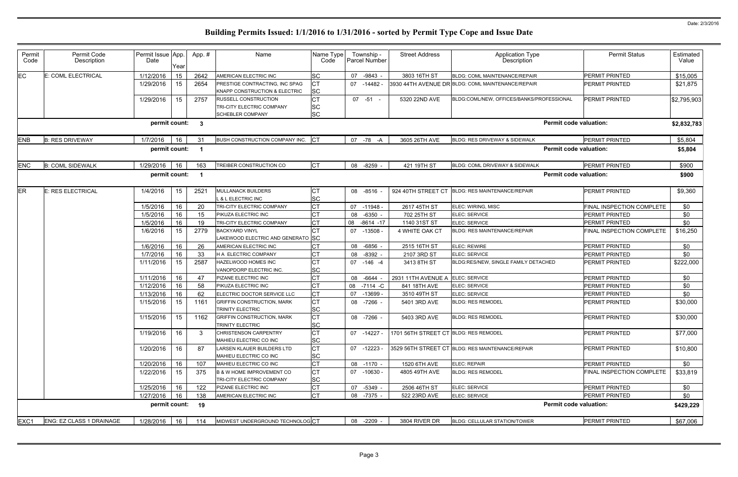| Permit<br>Code | Permit Code<br>Description      | Permit Issue App.<br>Date | Year | App.# | Name                                                            | Name Type<br>Code      | Township -<br><b>Parcel Number</b> | <b>Street Address</b>                 | <b>Application Type</b><br>Description            | <b>Permit Status</b>      | Estimated<br>Value |
|----------------|---------------------------------|---------------------------|------|-------|-----------------------------------------------------------------|------------------------|------------------------------------|---------------------------------------|---------------------------------------------------|---------------------------|--------------------|
| EC             | E: COML ELECTRICAL              | 1/12/2016                 | 15   | 2642  | AMERICAN ELECTRIC INC                                           | <b>SC</b>              | 07<br>-9843 -                      | 3803 16TH ST                          | BLDG: COML MAINTENANCE/REPAIR                     | PERMIT PRINTED            | \$15,005           |
|                |                                 | 1/29/2016                 | 15   | 2654  | PRESTIGE CONTRACTING, INC SPAG<br>KNAPP CONSTRUCTION & ELECTRIC | <b>CT</b><br><b>SC</b> | 07 -14482 -                        |                                       | 3930 44TH AVENUE DR BLDG: COML MAINTENANCE/REPAIR | PERMIT PRINTED            | \$21,875           |
|                |                                 | 1/29/2016                 | 15   | 2757  | <b>RUSSELL CONSTRUCTION</b><br>TRI-CITY ELECTRIC COMPANY        | <b>CT</b><br><b>SC</b> | $07 - 51 -$                        | 5320 22ND AVE                         | BLDG:COML/NEW, OFFICES/BANKS/PROFESSIONAL         | <b>PERMIT PRINTED</b>     | \$2,795,903        |
|                |                                 | permit count:             |      |       | <b>SCHEBLER COMPANY</b>                                         | <b>SC</b>              |                                    |                                       | <b>Permit code valuation:</b>                     |                           |                    |
|                |                                 |                           |      | - 3   |                                                                 |                        |                                    |                                       |                                                   |                           | \$2,832,783        |
| ENB            | <b>B: RES DRIVEWAY</b>          | 1/7/2016                  | 16   | 31    | BUSH CONSTRUCTION COMPANY INC.                                  | CT                     | 07 -78 -A                          | 3605 26TH AVE                         | BLDG: RES DRIVEWAY & SIDEWALK                     | PERMIT PRINTED            | \$5,804            |
|                |                                 | permit count:             |      |       |                                                                 |                        |                                    |                                       | <b>Permit code valuation:</b>                     |                           | \$5,804            |
| <b>ENC</b>     | <b>B: COML SIDEWALK</b>         | 1/29/2016                 | 16   | 163   | <b>TREIBER CONSTRUCTION CO</b>                                  | <b>CT</b>              | 08<br>-8259 -                      | 421 19TH ST                           | BLDG: COML DRIVEWAY & SIDEWALK                    | PERMIT PRINTED            | \$900              |
|                |                                 | permit count:             |      |       |                                                                 |                        |                                    |                                       | <b>Permit code valuation:</b>                     |                           | \$900              |
| ER             | E: RES ELECTRICAL               | 1/4/2016                  | 15   | 2521  | <b>MULLANACK BUILDERS</b><br>L & L ELECTRIC INC                 | <b>CT</b><br><b>SC</b> | 08 -8516 -                         | 924 40TH STREET CT                    | <b>BLDG: RES MAINTENANCE/REPAIR</b>               | PERMIT PRINTED            | \$9,360            |
|                |                                 | 1/5/2016                  | 16   | 20    | <b>TRI-CITY ELECTRIC COMPANY</b>                                | <b>CT</b>              | 07<br>-11948 -                     | 2617 45TH ST                          | ELEC: WIRING, MISC                                | FINAL INSPECTION COMPLETE | \$0                |
|                |                                 | 1/5/2016                  | 16   | 15    | PIKUZA ELECTRIC INC                                             |                        | 08<br>-6350 -                      | 702 25TH ST                           | ELEC: SERVICE                                     | PERMIT PRINTED            | \$0                |
|                |                                 | 1/5/2016                  | 16   | 19    | TRI-CITY ELECTRIC COMPANY                                       | <b>CT</b>              | 08<br>$-8614 - 17$                 | 1140 31ST ST                          | ELEC: SERVICE                                     | PERMIT PRINTED            | \$0                |
|                |                                 | 1/6/2016                  | 15   | 2779  | <b>BACKYARD VINYL</b><br>LAKEWOOD ELECTRIC AND GENERATO SC      | <b>CT</b>              | -13508 -<br>07                     | 4 WHITE OAK CT                        | <b>BLDG: RES MAINTENANCE/REPAIR</b>               | FINAL INSPECTION COMPLETE | \$16,250           |
|                |                                 | 1/6/2016                  | 16   | 26    | AMERICAN ELECTRIC INC                                           |                        | 08<br>$-6856$ .                    | 2515 16TH ST                          | <b>ELEC: REWIRE</b>                               | PERMIT PRINTED            | \$0                |
|                |                                 | 1/7/2016                  | 16   | 33    | H A ELECTRIC COMPANY                                            |                        | 08<br>$-8392 -$                    | 2107 3RD ST                           | ELEC: SERVICE                                     | PERMIT PRINTED            | \$0                |
|                |                                 | 1/11/2016                 | 15   | 2587  | HAZELWOOD HOMES INC<br>VANOPDORP ELECTRIC INC.                  | <b>SC</b>              | 07 -146 -4                         | 3413 8TH ST                           | BLDG:RES/NEW, SINGLE FAMILY DETACHED              | PERMIT PRINTED            | \$222,000          |
|                |                                 | 1/11/2016                 | 16   | 47    | PIZANE ELECTRIC INC                                             | <b>CT</b>              | $-6644 -$<br>08                    | 2931 11TH AVENUE A                    | ELEC: SERVICE                                     | PERMIT PRINTED            | \$0                |
|                |                                 | 1/12/2016                 | 16   | 58    | PIKUZA ELECTRIC INC                                             |                        | 08<br>$-7114 - C$                  | 841 18TH AVE                          | ELEC: SERVICE                                     | PERMIT PRINTED            | \$0                |
|                |                                 | 1/13/2016                 | 16   | 62    | ELECTRIC DOCTOR SERVICE LLC                                     | <b>CT</b>              | 07<br>-13699 -                     | 3510 49TH ST                          | ELEC: SERVICE                                     | PERMIT PRINTED            | \$0                |
|                |                                 | 1/15/2016                 | 15   | 1161  | <b>GRIFFIN CONSTRUCTION, MARK</b><br><b>TRINITY ELECTRIC</b>    | <b>CT</b><br><b>SC</b> | 08 -7266 -                         | 5401 3RD AVE                          | <b>BLDG: RES REMODEL</b>                          | PERMIT PRINTED            | \$30,000           |
|                |                                 | 1/15/2016                 | 15   | 1162  | <b>GRIFFIN CONSTRUCTION, MARK</b><br>TRINITY ELECTRIC           | <b>CT</b><br><b>SC</b> | 08 -7266 -                         | 5403 3RD AVE                          | <b>BLDG: RES REMODEL</b>                          | PERMIT PRINTED            | \$30,000           |
|                |                                 | 1/19/2016                 | 16   | 3     | CHRISTENSON CARPENTRY<br>MAHIEU ELECTRIC CO INC                 | <b>CT</b><br><b>SC</b> | 07 -14227 -                        | 1701 56TH STREET CT BLDG: RES REMODEL |                                                   | PERMIT PRINTED            | \$77,000           |
|                |                                 | 1/20/2016                 | 16   | 87    | <b>LARSEN KLAUER BUILDERS LTD</b><br>MAHIEU ELECTRIC CO INC     | <b>CT</b><br><b>SC</b> | 07 -12223 -                        |                                       | 3529 56TH STREET CT BLDG: RES MAINTENANCE/REPAIR  | PERMIT PRINTED            | \$10,800           |
|                |                                 | 1/20/2016                 | 16   | 107   | MAHIEU ELECTRIC CO INC                                          | <b>CT</b>              | 08 -1170 -                         | 1520 6TH AVE                          | ELEC: REPAIR                                      | PERMIT PRINTED            | \$0                |
|                |                                 | 1/22/2016                 | 15   | 375   | B & W HOME IMPROVEMENT CO<br>TRI-CITY ELECTRIC COMPANY          | <b>CT</b><br><b>SC</b> | 07 -10630 -                        | 4805 49TH AVE                         | <b>BLDG: RES REMODEL</b>                          | FINAL INSPECTION COMPLETE | \$33,819           |
|                |                                 | 1/25/2016                 | 16   | 122   | PIZANE ELECTRIC INC                                             | <b>CT</b>              | $-5349 -$<br>07                    | 2506 46TH ST                          | ELEC: SERVICE                                     | PERMIT PRINTED            | \$0                |
|                |                                 | 1/27/2016                 | 16   | 138   | AMERICAN ELECTRIC INC                                           | <b>CT</b>              | 08 -7375 -                         | 522 23RD AVE                          | ELEC: SERVICE                                     | PERMIT PRINTED            | \$0                |
|                |                                 | permit count: 19          |      |       |                                                                 |                        |                                    |                                       | <b>Permit code valuation:</b>                     |                           | \$429,229          |
| EXC1           | <b>ENG: EZ CLASS 1 DRAINAGE</b> | 1/28/2016                 | 16   | 114   | MIDWEST UNDERGROUND TECHNOLOGCT                                 |                        | 08 -2209 -                         | 3804 RIVER DR                         | BLDG: CELLULAR STATION/TOWER                      | PERMIT PRINTED            | \$67,006           |
|                |                                 |                           |      |       |                                                                 |                        |                                    |                                       |                                                   |                           |                    |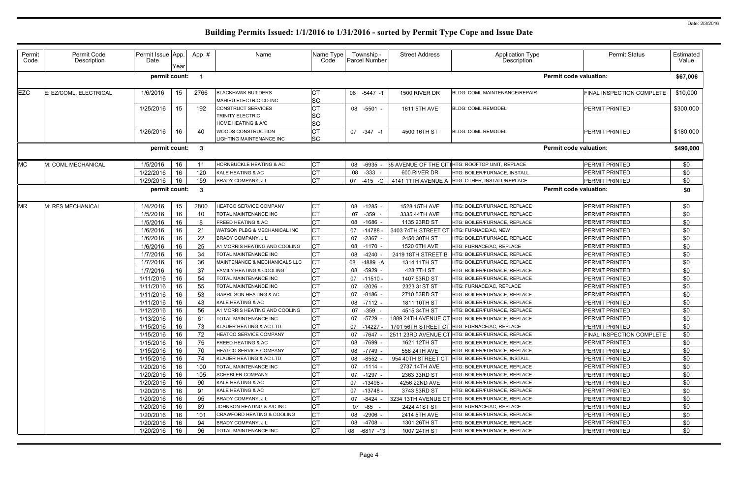| Permit<br>Code | Permit Code<br>Description | Permit Issue App.<br>Date | Year | App.#            | Name                                                                                  | Name Type<br>Code      | Township -<br>Parcel Number | <b>Street Address</b> | Application Type<br>Description                        | <b>Permit Status</b>             | Estimated<br>Value |
|----------------|----------------------------|---------------------------|------|------------------|---------------------------------------------------------------------------------------|------------------------|-----------------------------|-----------------------|--------------------------------------------------------|----------------------------------|--------------------|
|                |                            | permit count:             |      |                  |                                                                                       |                        |                             |                       | <b>Permit code valuation:</b>                          |                                  | \$67,006           |
| <b>EZC</b>     | E: EZ/COML, ELECTRICAL     | 1/6/2016                  | 15   | 2766             | <b>BLACKHAWK BUILDERS</b><br>MAHIEU ELECTRIC CO INC                                   | СT<br>SC               | 08 -5447 -1                 | 1500 RIVER DR         | BLDG: COML MAINTENANCE/REPAIR                          | FINAL INSPECTION COMPLETE        | \$10,000           |
|                |                            | 1/25/2016                 | 15   | 192              | <b>CONSTRUCT SERVICES</b><br><b>TRINITY ELECTRIC</b><br><b>HOME HEATING &amp; A/C</b> | <b>CT</b><br>SC<br>SC  | 08 -5501 -                  | 1611 5TH AVE          | <b>BLDG: COML REMODEL</b>                              | <b>PERMIT PRINTED</b>            | \$300,000          |
|                |                            | 1/26/2016                 | 16   | 40               | WOODS CONSTRUCTION<br>LIGHTING MAINTENANCE INC                                        | <b>CT</b><br><b>SC</b> | 07 -347 -1                  | 4500 16TH ST          | <b>BLDG: COML REMODEL</b>                              | <b>PERMIT PRINTED</b>            | \$180,000          |
|                |                            | permit count:             |      | $\boldsymbol{3}$ |                                                                                       |                        |                             |                       | <b>Permit code valuation:</b>                          |                                  | \$490,000          |
| <b>MC</b>      | M: COML MECHANICAL         | 1/5/2016                  | 16   | 11               | HORNBUCKLE HEATING & AC                                                               | <b>CT</b>              | 08<br>-6935                 |                       | <b>85 AVENUE OF THE CITIHTG: ROOFTOP UNIT, REPLACE</b> | PERMIT PRINTED                   | \$0                |
|                |                            | 1/22/2016                 | 16   | 120              | KALE HEATING & AC                                                                     | <b>CT</b>              | $-333$<br>08                | 600 RIVER DR          | <b>ITG: BOILER/FURNACE, INSTALL</b>                    | <b>PERMIT PRINTED</b>            | \$0                |
|                |                            | 1/29/2016                 | 16   | 159              | <b>BRADY COMPANY, JL</b>                                                              | <b>CT</b>              | $-415 - C$<br>07            | 4141 11TH AVENUE A    | HTG: OTHER. INSTALL/REPLACE                            | <b>PERMIT PRINTED</b>            | \$0                |
|                |                            | permit count:             |      | $\mathbf{3}$     |                                                                                       |                        |                             |                       | <b>Permit code valuation:</b>                          |                                  | \$0                |
| <b>MR</b>      | M: RES MECHANICAL          | 1/4/2016                  | 15   | 2800             | <b>HEATCO SERVICE COMPANY</b>                                                         | <b>CT</b>              | 08<br>$-1285$ -             | 1528 15TH AVE         | HTG: BOILER/FURNACE, REPLACE                           | <b>PERMIT PRINTED</b>            | \$0                |
|                |                            | 1/5/2016                  | 16   | 10               | TOTAL MAINTENANCE INC                                                                 | <b>CT</b>              | $-359$<br>07                | 3335 44TH AVE         | ITG: BOILER/FURNACE, REPLACE                           | <b>PERMIT PRINTED</b>            | \$0                |
|                |                            | 1/5/2016                  | 16   | 8                | <b>FREED HEATING &amp; AC</b>                                                         | <b>CT</b>              | 08 -1686 -                  | 1135 23RD ST          | HTG: BOILER/FURNACE. REPLACE                           | <b>PERMIT PRINTED</b>            | \$0                |
|                |                            | 1/6/2016                  | 16   | 21               | WATSON PLBG & MECHANICAL INC                                                          | <b>CT</b>              | $-14788$<br>07              | 3403 74TH STREET CT   | HTG: FURNACE/AC, NEW                                   | <b>PERMIT PRINTED</b>            | \$0                |
|                |                            | 1/6/2016                  | 16   | 22               | <b>BRADY COMPANY, JL</b>                                                              | <b>CT</b>              | $-2367 -$<br>07             | 2450 30TH ST          | <b>ITG: BOILER/FURNACE, REPLACE</b>                    | <b>PERMIT PRINTED</b>            | \$0                |
|                |                            | 1/6/2016                  | 16   | 25               | A1 MORRIS HEATING AND COOLING                                                         | <b>CT</b>              | $-1170$<br>08               | 1520 6TH AVE          | <b>ITG: FURNACE/AC, REPLACE</b>                        | <b>PERMIT PRINTED</b>            | \$0                |
|                |                            | 1/7/2016                  | 16   | 34               | TOTAL MAINTENANCE INC                                                                 | <b>CT</b>              | -4240<br>08                 | 2419 18TH STREET B    | HTG: BOILER/FURNACE, REPLACE                           | <b>PERMIT PRINTED</b>            | \$0                |
|                |                            | 1/7/2016                  | 16   | 36               | MAINTENANCE & MECHANICALS LLC                                                         | <b>CT</b>              | $-4889 - A$<br>08           | 1314 11TH ST          | <b>ITG: BOILER/FURNACE, REPLACE</b>                    | <b>PERMIT PRINTED</b>            | \$0                |
|                |                            | 1/7/2016                  | 16   | 37               | <b>FAMILY HEATING &amp; COOLING</b>                                                   | <b>CT</b>              | $-5929$ -<br>08             | 428 7TH ST            | HTG: BOILER/FURNACE, REPLACE                           | <b>PERMIT PRINTED</b>            | \$0                |
|                |                            | 1/11/2016                 | 16   | 54               | TOTAL MAINTENANCE INC                                                                 | <b>ICT</b>             | $-11510 -$<br>07            | 1407 53RD ST          | HTG: BOILER/FURNACE, REPLACE                           | PERMIT PRINTED                   | \$0                |
|                |                            | 1/11/2016                 | 16   | 55               | TOTAL MAINTENANCE INC                                                                 | <b>CT</b>              | $-2026$ -<br>07             | 2323 31ST ST          | <b>ITG: FURNACE/AC, REPLACE</b>                        | <b>PERMIT PRINTED</b>            | \$0                |
|                |                            | 1/11/2016                 | 16   | 53               | <b>GABRILSON HEATING &amp; AC</b>                                                     | <b>CT</b>              | -8186 -<br>07               | 2710 53RD ST          | HTG: BOILER/FURNACE, REPLACE                           | <b>PERMIT PRINTED</b>            | \$0                |
|                |                            | 1/11/2016                 | 16   | 43               | KALE HEATING & AC                                                                     | <b>CT</b>              | $-7112 -$<br>08             | 1811 10TH ST          | <b>ITG: BOILER/FURNACE, REPLACE</b>                    | <b>PERMIT PRINTED</b>            | \$0                |
|                |                            | 1/12/2016                 | 16   | 56               | A1 MORRIS HEATING AND COOLING                                                         | <b>CT</b>              | 07<br>-359 -                | 4515 34TH ST          | HTG: BOILER/FURNACE, REPLACE                           | PERMIT PRINTED                   | \$0                |
|                |                            | 1/13/2016                 | 16   | 61               | TOTAL MAINTENANCE INC                                                                 | <b>CT</b>              | 07 -5729 -                  |                       | 1889 24TH AVENUE CT HTG: BOILER/FURNACE, REPLACE       | PERMIT PRINTED                   | \$0                |
|                |                            | 1/15/2016                 | 16   | 73.              | KLAUER HEATING & AC LTD                                                               | <b>CT</b>              | 07 -14227 -                 |                       | 1701 56TH STREET CT HTG: FURNACE/AC, REPLACE           | <b>PERMIT PRINTED</b>            | \$0                |
|                |                            | 1/15/2016                 | 16   | 72               | <b>HEATCO SERVICE COMPANY</b>                                                         | Iст                    | 07 -7647 -                  |                       | 2511 23RD AVENUE CT HTG: BOILER/FURNACE, REPLACE       | <b>FINAL INSPECTION COMPLETE</b> | \$0                |
|                |                            | 1/15/2016                 | 16   | 75               | <b>FREED HEATING &amp; AC</b>                                                         | <b>CT</b>              | -7699 -<br>08               | 1621 12TH ST          | HTG: BOILER/FURNACE, REPLACE                           | <b>PERMIT PRINTED</b>            | \$0                |
|                |                            | 1/15/2016                 | 16   | 70               | <b>HEATCO SERVICE COMPANY</b>                                                         | <b>CT</b>              | 08 -7749 -                  | 556 24TH AVE          | HTG: BOILER/FURNACE, REPLACE                           | <b>PERMIT PRINTED</b>            | \$0                |
|                |                            | 1/15/2016                 | 16   | 74               | KLAUER HEATING & AC LTD                                                               | <b>CT</b>              | 08 -8552 -                  | 954 40TH STREET CT    | HTG: BOILER/FURNACE, INSTALL                           | <b>PERMIT PRINTED</b>            | \$0                |
|                |                            | 1/20/2016                 | 16   | 100              | TOTAL MAINTENANCE INC                                                                 | <b>CT</b>              | 07 -1114 -                  | 2737 14TH AVE         | HTG: BOILER/FURNACE, REPLACE                           | <b>PERMIT PRINTED</b>            | \$0                |
|                |                            | 1/20/2016                 | 16   | 105              | <b>SCHEBLER COMPANY</b>                                                               | <b>CT</b>              | $-1297 -$<br>07             | 2363 33RD ST          | HTG: BOILER/FURNACE, REPLACE                           | <b>PERMIT PRINTED</b>            | \$0                |
|                |                            | 1/20/2016                 | 16   | 90               | KALE HEATING & AC                                                                     | <b>CT</b>              | -13496 -<br>07              | 4256 22ND AVE         | HTG: BOILER/FURNACE, REPLACE                           | PERMIT PRINTED                   | \$0                |
|                |                            | 1/20/2016                 | 16   | -91              | KALE HEATING & AC                                                                     | <b>CT</b>              | -13748 -<br>07              | 3743 53RD ST          | HTG: BOILER/FURNACE, REPLACE                           | PERMIT PRINTED                   | \$0                |
|                |                            | 1/20/2016                 | 16   | 95               | <b>BRADY COMPANY, JL</b>                                                              | <b>CT</b>              | -8424<br>07                 |                       | 3234 13TH AVENUE CT HTG: BOILER/FURNACE, REPLACE       | <b>PERMIT PRINTED</b>            | \$0                |
|                |                            | 1/20/2016                 | 16   | 89               | JOHNSON HEATING & A/C INC                                                             | <b>CT</b>              | 07 - 85 -                   | 2424 41ST ST          | HTG: FURNACE/AC, REPLACE                               | <b>PERMIT PRINTED</b>            | \$0                |
|                |                            | 1/20/2016                 | 16   | 101              | <b>CRAWFORD HEATING &amp; COOLING</b>                                                 | <b>CT</b>              | $-2906 -$<br>08             | 2414 5TH AVE          | HTG: BOILER/FURNACE, REPLACE                           | <b>PERMIT PRINTED</b>            | \$0                |
|                |                            | 1/20/2016                 | 16   | 94               | BRADY COMPANY, J L                                                                    | <b>CT</b>              | 08 -4708 -                  | 1301 26TH ST          | HTG: BOILER/FURNACE, REPLACE                           | <b>PERMIT PRINTED</b>            | \$0                |
|                |                            | 1/20/2016                 | 16   | 96               | TOTAL MAINTENANCE INC                                                                 | <b>CT</b>              | 08 -6817 -13                | 1007 24TH ST          | <b>ITG: BOILER/FURNACE, REPLACE</b>                    | <b>PERMIT PRINTED</b>            | \$0                |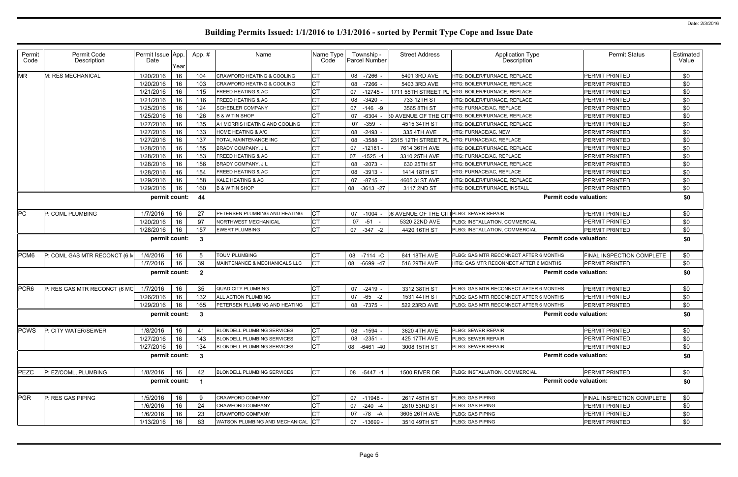| Permit<br>Code   | Permit Code<br>Description   | Permit Issue App.<br>Date | Year | App. #                  | Name                              | Name Type<br>Code | Township -<br><b>Parcel Number</b> | <b>Street Address</b>                   | <b>Application Type</b><br>Description            | <b>Permit Status</b>      | Estimated<br>Value |
|------------------|------------------------------|---------------------------|------|-------------------------|-----------------------------------|-------------------|------------------------------------|-----------------------------------------|---------------------------------------------------|---------------------------|--------------------|
| <b>MR</b>        | M: RES MECHANICAL            | 1/20/2016                 | 16   | 104                     | CRAWFORD HEATING & COOLING        | <b>CT</b>         | -7266<br>08                        | 5401 3RD AVE                            | HTG: BOILER/FURNACE, REPLACE                      | PERMIT PRINTED            | \$0                |
|                  |                              | 1/20/2016                 | 16   | 103                     | CRAWFORD HEATING & COOLING        | <b>CT</b>         | -7266<br>08                        | 5403 3RD AVE                            | HTG: BOILER/FURNACE, REPLACE                      | PERMIT PRINTED            | \$0                |
|                  |                              | 1/21/2016                 | 16   | 115                     | FREED HEATING & AC                | <b>CT</b>         | 07<br>$-12745$                     | 1711 55TH STREET PL                     | HTG: BOILER/FURNACE, REPLACE                      | PERMIT PRINTED            | \$0                |
|                  |                              | 1/21/2016                 | 16   | 116                     | FREED HEATING & AC                | <b>CT</b>         | $-3420 -$<br>08                    | 733 12TH ST                             | HTG: BOILER/FURNACE, REPLACE                      | PERMIT PRINTED            | \$0                |
|                  |                              | 1/25/2016                 | 16   | 124                     | <b>SCHEBLER COMPANY</b>           | <b>CT</b>         | 07<br>$-146 - 9$                   | 3565 8TH ST                             | HTG: FURNACE/AC, REPLACE                          | <b>PERMIT PRINTED</b>     | \$0                |
|                  |                              | 1/25/2016                 | 16   | 126                     | <b>B &amp; W TIN SHOP</b>         | <b>CT</b>         | $-6304$<br>07                      |                                         | 50 AVENUE OF THE CITIHTG: BOILER/FURNACE, REPLACE | PERMIT PRINTED            | \$0                |
|                  |                              | 1/27/2016                 | 16   | 135                     | A1 MORRIS HEATING AND COOLING     | <b>CT</b>         | $-359$<br>07                       | 4515 34TH ST                            | HTG: BOILER/FURNACE, REPLACE                      | PERMIT PRINTED            | \$0                |
|                  |                              | 1/27/2016                 | 16   | 133                     | HOME HEATING & A/C                | <b>CT</b>         | $-2493 -$<br>08                    | 335 4TH AVE                             | HTG: FURNACE/AC, NEW                              | PERMIT PRINTED            | \$0                |
|                  |                              | 1/27/2016                 | 16   | 137                     | TOTAL MAINTENANCE INC             | <b>CT</b>         | $-3588$<br>08                      | 2315 12TH STREET PL                     | HTG: FURNACE/AC, REPLACE                          | PERMIT PRINTED            | \$0                |
|                  |                              | 1/28/2016                 | 16   | 155                     | BRADY COMPANY, J L                | <b>CT</b>         | 07<br>$-12181$                     | 7614 36TH AVE                           | HTG: BOILER/FURNACE, REPLACE                      | PERMIT PRINTED            | \$0                |
|                  |                              | 1/28/2016                 | 16   | 153                     | FREED HEATING & AC                | <b>CT</b>         | $-1525 - 1$<br>07                  | 3310 25TH AVE                           | HTG: FURNACE/AC, REPLACE                          | PERMIT PRINTED            | \$0                |
|                  |                              | 1/28/2016                 | 16   | 156                     | <b>BRADY COMPANY, J L</b>         | <b>CT</b>         | $-2073 -$<br>08                    | 630 25TH ST                             | HTG: BOILER/FURNACE, REPLACE                      | <b>PERMIT PRINTED</b>     | \$0                |
|                  |                              | 1/28/2016                 | 16   | 154                     | FREED HEATING & AC                | <b>CT</b>         | $-3913 -$<br>08                    | 1414 18TH ST                            | HTG: FURNACE/AC, REPLACE                          | PERMIT PRINTED            | \$0                |
|                  |                              | 1/29/2016                 | 16   | 158                     | KALE HEATING & AC                 | <b>CT</b>         | $-8715 -$<br>07                    | 4605 31ST AVE                           | HTG: BOILER/FURNACE, REPLACE                      | <b>PERMIT PRINTED</b>     | \$0                |
|                  |                              | 1/29/2016                 | 16   | 160                     | <b>B &amp; W TIN SHOP</b>         | <b>CT</b>         | 80<br>$-3613 -27$                  | 3117 2ND ST                             | HTG: BOILER/FURNACE, INSTALL                      | PERMIT PRINTED            | \$0                |
|                  |                              | permit count:             |      | 44                      |                                   |                   |                                    |                                         | <b>Permit code valuation:</b>                     |                           | \$0                |
| <b>PC</b>        | P: COML PLUMBING             | 1/7/2016                  | 16   | 27                      | PETERSEN PLUMBING AND HEATING     | <b>CT</b>         | 07<br>$-1004$                      | 06 AVENUE OF THE CITIPLBG: SEWER REPAIR |                                                   | <b>PERMIT PRINTED</b>     | \$0                |
|                  |                              | 1/20/2016                 | 16   | 97                      | <b>NORTHWEST MECHANICAL</b>       | <b>CT</b>         | $07 - 51 -$                        | 5320 22ND AVE                           | PLBG: INSTALLATION, COMMERCIAL                    | <b>PERMIT PRINTED</b>     | \$0                |
|                  |                              | 1/28/2016                 | 16   | 157                     | <b>EWERT PLUMBING</b>             | <b>CT</b>         | 07 -347 -2                         | 4420 16TH ST                            | PLBG: INSTALLATION, COMMERCIAL                    | PERMIT PRINTED            | \$0                |
|                  |                              | permit count:             |      | $\mathbf{3}$            |                                   |                   |                                    |                                         | <b>Permit code valuation:</b>                     |                           | \$0                |
| PCM <sub>6</sub> | P: COML GAS MTR RECONCT (6 M | 1/4/2016                  | 16   | 5                       | TOUM PLUMBING                     | <b>CT</b>         | 08 -7114 -C                        | 841 18TH AVE                            | PLBG: GAS MTR RECONNECT AFTER 6 MONTHS            | FINAL INSPECTION COMPLETE | \$0                |
|                  |                              | 1/7/2016                  | 16   | 39                      | MAINTENANCE & MECHANICALS LLC     | lст               | 08 -6699 -47                       | 516 29TH AVE                            | HTG: GAS MTR RECONNECT AFTER 6 MONTHS             | <b>PERMIT PRINTED</b>     | \$0                |
|                  |                              | permit count:             |      | $\overline{\mathbf{2}}$ |                                   |                   |                                    |                                         | <b>Permit code valuation:</b>                     |                           | \$0                |
| PCR <sub>6</sub> | P: RES GAS MTR RECONCT (6 MC | 1/7/2016                  | 16   | 35                      | <b>QUAD CITY PLUMBING</b>         | <b>CT</b>         | 07<br>$-2419 -$                    | 3312 38TH ST                            | PLBG: GAS MTR RECONNECT AFTER 6 MONTHS            | PERMIT PRINTED            | \$0                |
|                  |                              | 1/26/2016                 | 16   | 132                     | <b>ALL ACTION PLUMBING</b>        | <b>CT</b>         | $-65 -2$<br>07                     | 1531 44TH ST                            | PLBG: GAS MTR RECONNECT AFTER 6 MONTHS            | PERMIT PRINTED            | \$0                |
|                  |                              | 1/29/2016                 | 16   | 165                     | PETERSEN PLUMBING AND HEATING     | Iст               | 08 -7375                           | 522 23RD AVE                            | PLBG: GAS MTR RECONNECT AFTER 6 MONTHS            | PERMIT PRINTED            | \$0                |
|                  |                              | permit count:             |      | 3                       |                                   |                   |                                    |                                         | <b>Permit code valuation:</b>                     |                           | \$0                |
| <b>PCWS</b>      | P: CITY WATER/SEWER          | 1/8/2016                  | 16   | 41                      | <b>BLONDELL PLUMBING SERVICES</b> | <b>CT</b>         | 08 -1594                           | 3620 4TH AVE                            | PLBG: SEWER REPAIR                                | PERMIT PRINTED            | \$0                |
|                  |                              | 1/27/2016                 | 16   | 143                     | <b>BLONDELL PLUMBING SERVICES</b> | <b>CT</b>         | 08<br>$-2351 -$                    | 425 17TH AVE                            | <b>PLBG: SEWER REPAIR</b>                         | PERMIT PRINTED            | \$0                |
|                  |                              | 1/27/2016                 | 16   | 134                     | <b>BLONDELL PLUMBING SERVICES</b> | Iст               | 08 -6461 -40                       | 3008 15TH ST                            | <b>PLBG: SEWER REPAIR</b>                         | <b>PERMIT PRINTED</b>     | \$0                |
|                  |                              | permit count:             |      | - 3                     |                                   |                   |                                    |                                         | <b>Permit code valuation:</b>                     |                           | \$0                |
| <b>PEZC</b>      | P: EZ/COML, PLUMBING         | 1/8/2016                  | 16   | 42                      | <b>BLONDELL PLUMBING SERVICES</b> | <b>CT</b>         | 08 -5447 -1                        | 1500 RIVER DR                           | PLBG: INSTALLATION, COMMERCIAL                    | PERMIT PRINTED            | \$0                |
|                  |                              | permit count:             |      |                         |                                   |                   |                                    |                                         | <b>Permit code valuation:</b>                     |                           | \$0                |
| PGR              | P: RES GAS PIPING            | 1/5/2016                  | 16   | g                       | CRAWFORD COMPANY                  | <b>CT</b>         | 07 -11948 -                        | 2617 45TH ST                            | PLBG: GAS PIPING                                  | FINAL INSPECTION COMPLETE | \$0                |
|                  |                              | 1/6/2016                  | 16   | 24                      | CRAWFORD COMPANY                  | <b>CT</b>         | $-240 -4$<br>07                    | 2810 53RD ST                            | PLBG: GAS PIPING                                  | <b>PERMIT PRINTED</b>     | \$0                |
|                  |                              | 1/6/2016                  | 16   | 23                      | CRAWFORD COMPANY                  | <b>CT</b>         | -78 -A<br>07                       | 3605 26TH AVE                           | PLBG: GAS PIPING                                  | PERMIT PRINTED            | \$0                |
|                  |                              |                           |      |                         |                                   |                   |                                    |                                         |                                                   |                           |                    |
|                  |                              | 1/13/2016                 | 16   | 63                      | WATSON PLUMBING AND MECHANICAL CT |                   | 07<br>-13699 -                     | 3510 49TH ST                            | PLBG: GAS PIPING                                  | PERMIT PRINTED            | \$0                |